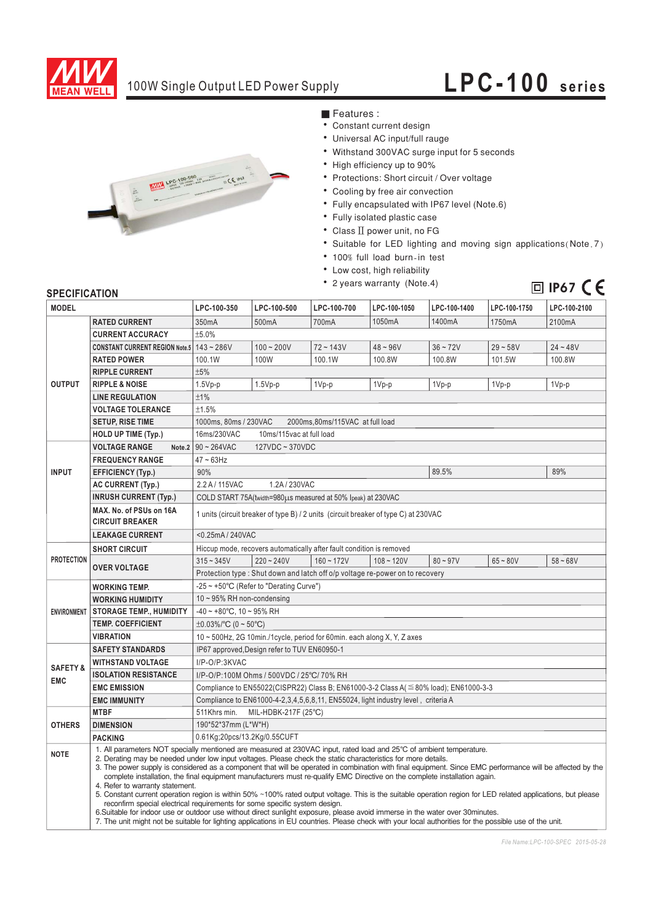

## 100W Single Output LED Power Supply **LPC-100 series**



■ Features :

- Constant current design
- · Universal AC input/full rauge
- Withstand 300VAC surge input for 5 seconds
- High efficiency up to 90%
- Protections: Short circuit / Over voltage
- Cooling by free air convection
- Fully encapsulated with IP67 level (Note.6)
- Fully isolated plastic case
- $\bullet$  Class  $\Pi$  power unit, no FG
- Suitable for LED lighting and moving sign applications (Note.7)
- · 100% full load burn-in test
- Low cost, high reliability
- 2 years warranty (Note.4)

**ID IP67**  $CE$ 

### **SPECIFICATION**

| JE LUII IUMI IUN<br><b>MODEL</b>  |                                                                                                                                                                                                                                                                                                                                                                                                                                                                                                                                                                                                                                                                                                                                                                                                                                                                                                                                                                                                                                                                                                                | LPC-100-350                                                                                | LPC-100-500  | LPC-100-700  | LPC-100-1050 | LPC-100-1400 | LPC-100-1750 | LPC-100-2100 |
|-----------------------------------|----------------------------------------------------------------------------------------------------------------------------------------------------------------------------------------------------------------------------------------------------------------------------------------------------------------------------------------------------------------------------------------------------------------------------------------------------------------------------------------------------------------------------------------------------------------------------------------------------------------------------------------------------------------------------------------------------------------------------------------------------------------------------------------------------------------------------------------------------------------------------------------------------------------------------------------------------------------------------------------------------------------------------------------------------------------------------------------------------------------|--------------------------------------------------------------------------------------------|--------------|--------------|--------------|--------------|--------------|--------------|
|                                   | <b>RATED CURRENT</b>                                                                                                                                                                                                                                                                                                                                                                                                                                                                                                                                                                                                                                                                                                                                                                                                                                                                                                                                                                                                                                                                                           | 350mA                                                                                      | 500mA        | 700mA        | 1050mA       | 1400mA       | 1750mA       | 2100mA       |
| <b>OUTPUT</b>                     | <b>CURRENT ACCURACY</b>                                                                                                                                                                                                                                                                                                                                                                                                                                                                                                                                                                                                                                                                                                                                                                                                                                                                                                                                                                                                                                                                                        | ±5.0%                                                                                      |              |              |              |              |              |              |
|                                   | CONSTANT CURRENT REGION Note.5 143~286V                                                                                                                                                                                                                                                                                                                                                                                                                                                                                                                                                                                                                                                                                                                                                                                                                                                                                                                                                                                                                                                                        |                                                                                            | $100 - 200V$ | $72 - 143V$  | $48 - 96V$   | $36 - 72V$   | $29 - 58V$   | $24 - 48V$   |
|                                   | <b>RATED POWER</b>                                                                                                                                                                                                                                                                                                                                                                                                                                                                                                                                                                                                                                                                                                                                                                                                                                                                                                                                                                                                                                                                                             | 100.1W                                                                                     | 100W         | 100.1W       | 100.8W       | 100.8W       | 101.5W       | 100.8W       |
|                                   | <b>RIPPLE CURRENT</b>                                                                                                                                                                                                                                                                                                                                                                                                                                                                                                                                                                                                                                                                                                                                                                                                                                                                                                                                                                                                                                                                                          | ±5%                                                                                        |              |              |              |              |              |              |
|                                   | <b>RIPPLE &amp; NOISE</b>                                                                                                                                                                                                                                                                                                                                                                                                                                                                                                                                                                                                                                                                                                                                                                                                                                                                                                                                                                                                                                                                                      |                                                                                            |              |              |              |              |              |              |
|                                   | <b>LINE REGULATION</b>                                                                                                                                                                                                                                                                                                                                                                                                                                                                                                                                                                                                                                                                                                                                                                                                                                                                                                                                                                                                                                                                                         | $1.5Vp-p$<br>±1%                                                                           | $1.5Vp-p$    | 1Vp-p        | 1Vp-p        | 1Vp-p        | 1Vp-p        | 1Vp-p        |
|                                   | <b>VOLTAGE TOLERANCE</b>                                                                                                                                                                                                                                                                                                                                                                                                                                                                                                                                                                                                                                                                                                                                                                                                                                                                                                                                                                                                                                                                                       | ±1.5%                                                                                      |              |              |              |              |              |              |
|                                   | <b>SETUP, RISE TIME</b>                                                                                                                                                                                                                                                                                                                                                                                                                                                                                                                                                                                                                                                                                                                                                                                                                                                                                                                                                                                                                                                                                        | 1000ms, 80ms / 230VAC<br>2000ms,80ms/115VAC at full load                                   |              |              |              |              |              |              |
|                                   | <b>HOLD UP TIME (Typ.)</b>                                                                                                                                                                                                                                                                                                                                                                                                                                                                                                                                                                                                                                                                                                                                                                                                                                                                                                                                                                                                                                                                                     | 16ms/230VAC<br>10ms/115vac at full load                                                    |              |              |              |              |              |              |
|                                   |                                                                                                                                                                                                                                                                                                                                                                                                                                                                                                                                                                                                                                                                                                                                                                                                                                                                                                                                                                                                                                                                                                                | Note.2 $90 \sim 264$ VAC                                                                   |              |              |              |              |              |              |
| <b>INPUT</b>                      | <b>VOLTAGE RANGE</b>                                                                                                                                                                                                                                                                                                                                                                                                                                                                                                                                                                                                                                                                                                                                                                                                                                                                                                                                                                                                                                                                                           | 127VDC ~ 370VDC<br>$47 - 63$ Hz                                                            |              |              |              |              |              |              |
|                                   | <b>FREQUENCY RANGE</b>                                                                                                                                                                                                                                                                                                                                                                                                                                                                                                                                                                                                                                                                                                                                                                                                                                                                                                                                                                                                                                                                                         |                                                                                            |              |              |              |              |              |              |
|                                   | <b>EFFICIENCY (Typ.)</b>                                                                                                                                                                                                                                                                                                                                                                                                                                                                                                                                                                                                                                                                                                                                                                                                                                                                                                                                                                                                                                                                                       | 89.5%<br>89%<br>90%                                                                        |              |              |              |              |              |              |
|                                   | <b>AC CURRENT (Typ.)</b>                                                                                                                                                                                                                                                                                                                                                                                                                                                                                                                                                                                                                                                                                                                                                                                                                                                                                                                                                                                                                                                                                       | 2.2 A / 115VAC<br>1.2A/230VAC                                                              |              |              |              |              |              |              |
|                                   | <b>INRUSH CURRENT (Typ.)</b>                                                                                                                                                                                                                                                                                                                                                                                                                                                                                                                                                                                                                                                                                                                                                                                                                                                                                                                                                                                                                                                                                   | COLD START 75A(twidth=980µs measured at 50% Ipeak) at 230VAC                               |              |              |              |              |              |              |
|                                   | MAX. No. of PSUs on 16A<br><b>CIRCUIT BREAKER</b>                                                                                                                                                                                                                                                                                                                                                                                                                                                                                                                                                                                                                                                                                                                                                                                                                                                                                                                                                                                                                                                              | 1 units (circuit breaker of type B) / 2 units (circuit breaker of type C) at 230VAC        |              |              |              |              |              |              |
|                                   | <b>LEAKAGE CURRENT</b>                                                                                                                                                                                                                                                                                                                                                                                                                                                                                                                                                                                                                                                                                                                                                                                                                                                                                                                                                                                                                                                                                         | <0.25mA / 240VAC                                                                           |              |              |              |              |              |              |
| <b>PROTECTION</b>                 | <b>SHORT CIRCUIT</b>                                                                                                                                                                                                                                                                                                                                                                                                                                                                                                                                                                                                                                                                                                                                                                                                                                                                                                                                                                                                                                                                                           | Hiccup mode, recovers automatically after fault condition is removed                       |              |              |              |              |              |              |
|                                   |                                                                                                                                                                                                                                                                                                                                                                                                                                                                                                                                                                                                                                                                                                                                                                                                                                                                                                                                                                                                                                                                                                                | $315 - 345V$                                                                               | $220 - 240V$ | $160 - 172V$ | $108 - 120V$ | $80 - 97V$   | $65 - 80V$   | $58 - 68V$   |
|                                   | <b>OVER VOLTAGE</b><br>Protection type: Shut down and latch off o/p voltage re-power on to recovery                                                                                                                                                                                                                                                                                                                                                                                                                                                                                                                                                                                                                                                                                                                                                                                                                                                                                                                                                                                                            |                                                                                            |              |              |              |              |              |              |
| <b>ENVIRONMENT</b>                | <b>WORKING TEMP.</b>                                                                                                                                                                                                                                                                                                                                                                                                                                                                                                                                                                                                                                                                                                                                                                                                                                                                                                                                                                                                                                                                                           | -25 ~ +50°C (Refer to "Derating Curve")                                                    |              |              |              |              |              |              |
|                                   | <b>WORKING HUMIDITY</b>                                                                                                                                                                                                                                                                                                                                                                                                                                                                                                                                                                                                                                                                                                                                                                                                                                                                                                                                                                                                                                                                                        | $10 \sim 95\%$ RH non-condensing                                                           |              |              |              |              |              |              |
|                                   | <b>STORAGE TEMP., HUMIDITY</b>                                                                                                                                                                                                                                                                                                                                                                                                                                                                                                                                                                                                                                                                                                                                                                                                                                                                                                                                                                                                                                                                                 | $-40 \sim +80^{\circ}$ C, 10 ~ 95% RH                                                      |              |              |              |              |              |              |
|                                   | <b>TEMP. COEFFICIENT</b>                                                                                                                                                                                                                                                                                                                                                                                                                                                                                                                                                                                                                                                                                                                                                                                                                                                                                                                                                                                                                                                                                       | $\pm 0.03\%$ /°C (0 ~ 50°C)                                                                |              |              |              |              |              |              |
|                                   | <b>VIBRATION</b>                                                                                                                                                                                                                                                                                                                                                                                                                                                                                                                                                                                                                                                                                                                                                                                                                                                                                                                                                                                                                                                                                               | 10 ~ 500Hz, 2G 10min./1cycle, period for 60min. each along X, Y, Z axes                    |              |              |              |              |              |              |
| <b>SAFETY &amp;</b><br><b>EMC</b> | <b>SAFETY STANDARDS</b>                                                                                                                                                                                                                                                                                                                                                                                                                                                                                                                                                                                                                                                                                                                                                                                                                                                                                                                                                                                                                                                                                        | IP67 approved, Design refer to TUV EN60950-1                                               |              |              |              |              |              |              |
|                                   | <b>WITHSTAND VOLTAGE</b>                                                                                                                                                                                                                                                                                                                                                                                                                                                                                                                                                                                                                                                                                                                                                                                                                                                                                                                                                                                                                                                                                       | I/P-O/P:3KVAC                                                                              |              |              |              |              |              |              |
|                                   | <b>ISOLATION RESISTANCE</b>                                                                                                                                                                                                                                                                                                                                                                                                                                                                                                                                                                                                                                                                                                                                                                                                                                                                                                                                                                                                                                                                                    | I/P-O/P:100M Ohms / 500VDC / 25°C/ 70% RH                                                  |              |              |              |              |              |              |
|                                   | <b>EMC EMISSION</b>                                                                                                                                                                                                                                                                                                                                                                                                                                                                                                                                                                                                                                                                                                                                                                                                                                                                                                                                                                                                                                                                                            | Compliance to EN55022(CISPR22) Class B; EN61000-3-2 Class A( $\leq$ 80% load); EN61000-3-3 |              |              |              |              |              |              |
|                                   | <b>EMC IMMUNITY</b>                                                                                                                                                                                                                                                                                                                                                                                                                                                                                                                                                                                                                                                                                                                                                                                                                                                                                                                                                                                                                                                                                            | Compliance to EN61000-4-2,3,4,5,6,8,11, EN55024, light industry level, criteria A          |              |              |              |              |              |              |
| <b>OTHERS</b>                     | <b>MTBF</b>                                                                                                                                                                                                                                                                                                                                                                                                                                                                                                                                                                                                                                                                                                                                                                                                                                                                                                                                                                                                                                                                                                    | 511Khrs min.<br>MIL-HDBK-217F (25°C)                                                       |              |              |              |              |              |              |
|                                   | <b>DIMENSION</b>                                                                                                                                                                                                                                                                                                                                                                                                                                                                                                                                                                                                                                                                                                                                                                                                                                                                                                                                                                                                                                                                                               | 190*52*37mm (L*W*H)                                                                        |              |              |              |              |              |              |
|                                   | <b>PACKING</b>                                                                                                                                                                                                                                                                                                                                                                                                                                                                                                                                                                                                                                                                                                                                                                                                                                                                                                                                                                                                                                                                                                 | 0.61Kg;20pcs/13.2Kg/0.55CUFT                                                               |              |              |              |              |              |              |
| <b>NOTE</b>                       | 1. All parameters NOT specially mentioned are measured at 230VAC input, rated load and 25°C of ambient temperature.<br>2. Derating may be needed under low input voltages. Please check the static characteristics for more details.<br>3. The power supply is considered as a component that will be operated in combination with final equipment. Since EMC performance will be affected by the<br>complete installation, the final equipment manufacturers must re-qualify EMC Directive on the complete installation again.<br>4. Refer to warranty statement.<br>5. Constant current operation region is within 50% ~100% rated output voltage. This is the suitable operation region for LED related applications, but please<br>reconfirm special electrical requirements for some specific system design.<br>6. Suitable for indoor use or outdoor use without direct sunlight exposure, please avoid immerse in the water over 30 minutes.<br>7. The unit might not be suitable for lighting applications in EU countries. Please check with your local authorities for the possible use of the unit. |                                                                                            |              |              |              |              |              |              |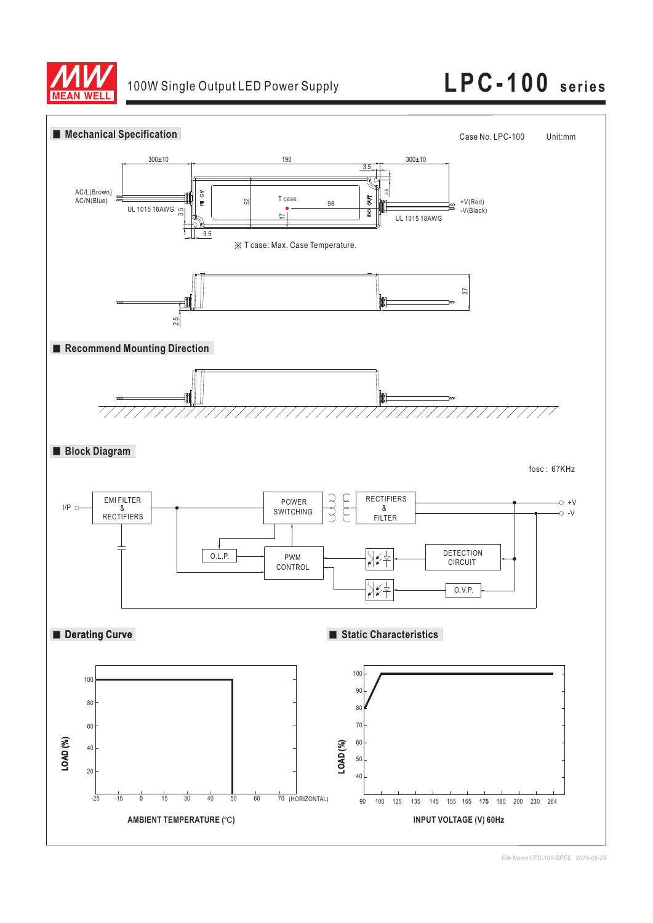

# 100W Single Output LED Power Supply **LPC-100 series**



*File Name:LPC-100-SPEC 2015-05-28*